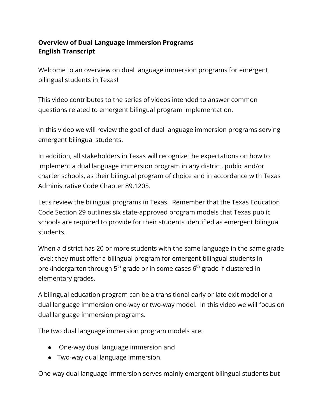## **Overview of Dual Language Immersion Programs English Transcript**

Welcome to an overview on dual language immersion programs for emergent bilingual students in Texas!

This video contributes to the series of videos intended to answer common questions related to emergent bilingual program implementation.

In this video we will review the goal of dual language immersion programs serving emergent bilingual students.

In addition, all stakeholders in Texas will recognize the expectations on how to implement a dual language immersion program in any district, public and/or charter schools, as their bilingual program of choice and in accordance with Texas Administrative Code Chapter 89.1205.

Let's review the bilingual programs in Texas. Remember that the Texas Education Code Section 29 outlines six state-approved program models that Texas public schools are required to provide for their students identified as emergent bilingual students.

When a district has 20 or more students with the same language in the same grade level; they must offer a bilingual program for emergent bilingual students in prekindergarten through 5 $^{\rm th}$  grade or in some cases 6 $^{\rm th}$  grade if clustered in elementary grades.

A bilingual education program can be a transitional early or late exit model or a dual language immersion one-way or two-way model. In this video we will focus on dual language immersion programs.

The two dual language immersion program models are:

- One-way dual language immersion and
- Two-way dual language immersion.

One-way dual language immersion serves mainly emergent bilingual students but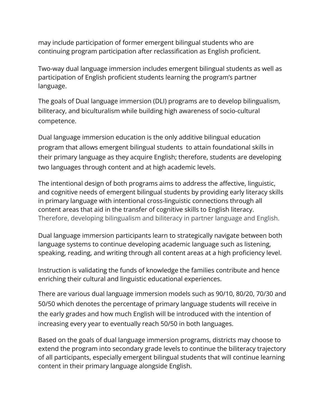may include participation of former emergent bilingual students who are continuing program participation after reclassification as English proficient.

Two-way dual language immersion includes emergent bilingual students as well as participation of English proficient students learning the program's partner language.

The goals of Dual language immersion (DLI) programs are to develop bilingualism, biliteracy, and biculturalism while building high awareness of socio-cultural competence.

Dual language immersion education is the only additive bilingual education program that allows emergent bilingual students to attain foundational skills in their primary language as they acquire English; therefore, students are developing two languages through content and at high academic levels.

The intentional design of both programs aims to address the affective, linguistic, and cognitive needs of emergent bilingual students by providing early literacy skills in primary language with intentional cross-linguistic connections through all content areas that aid in the transfer of cognitive skills to English literacy. Therefore, developing bilingualism and biliteracy in partner language and English.

Dual language immersion participants learn to strategically navigate between both language systems to continue developing academic language such as listening, speaking, reading, and writing through all content areas at a high proficiency level.

Instruction is validating the funds of knowledge the families contribute and hence enriching their cultural and linguistic educational experiences.

There are various dual language immersion models such as 90/10, 80/20, 70/30 and 50/50 which denotes the percentage of primary language students will receive in the early grades and how much English will be introduced with the intention of increasing every year to eventually reach 50/50 in both languages.

Based on the goals of dual language immersion programs, districts may choose to extend the program into secondary grade levels to continue the biliteracy trajectory of all participants, especially emergent bilingual students that will continue learning content in their primary language alongside English.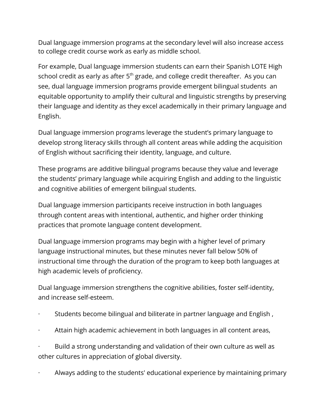Dual language immersion programs at the secondary level will also increase access to college credit course work as early as middle school.

For example, Dual language immersion students can earn their Spanish LOTE High school credit as early as after  $5<sup>th</sup>$  grade, and college credit thereafter. As you can see, dual language immersion programs provide emergent bilingual students an equitable opportunity to amplify their cultural and linguistic strengths by preserving their language and identity as they excel academically in their primary language and English.

Dual language immersion programs leverage the student's primary language to develop strong literacy skills through all content areas while adding the acquisition of English without sacrificing their identity, language, and culture.

These programs are additive bilingual programs because they value and leverage the students' primary language while acquiring English and adding to the linguistic and cognitive abilities of emergent bilingual students.

Dual language immersion participants receive instruction in both languages through content areas with intentional, authentic, and higher order thinking practices that promote language content development.

Dual language immersion programs may begin with a higher level of primary language instructional minutes, but these minutes never fall below 50% of instructional time through the duration of the program to keep both languages at high academic levels of proficiency.

Dual language immersion strengthens the cognitive abilities, foster self-identity, and increase self-esteem.

- · Students become bilingual and biliterate in partner language and English ,
- Attain high academic achievement in both languages in all content areas,

· Build a strong understanding and validation of their own culture as well as other cultures in appreciation of global diversity.

· Always adding to the students' educational experience by maintaining primary